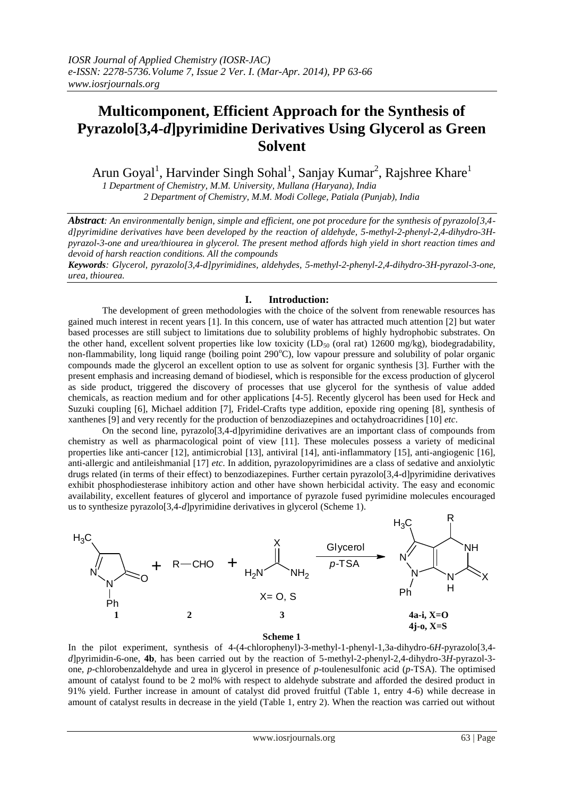# **Multicomponent, Efficient Approach for the Synthesis of Pyrazolo[3,4-***d***]pyrimidine Derivatives Using Glycerol as Green Solvent**

Arun Goyal<sup>1</sup>, Harvinder Singh Sohal<sup>1</sup>, Sanjay Kumar<sup>2</sup>, Rajshree Khare<sup>1</sup>

*1 Department of Chemistry, M.M. University, Mullana (Haryana), India 2 Department of Chemistry, M.M. Modi College, Patiala (Punjab), India*

*Abstract: An environmentally benign, simple and efficient, one pot procedure for the synthesis of pyrazolo[3,4 d]pyrimidine derivatives have been developed by the reaction of aldehyde, 5-methyl-2-phenyl-2,4-dihydro-3Hpyrazol-3-one and urea/thiourea in glycerol. The present method affords high yield in short reaction times and devoid of harsh reaction conditions. All the compounds* 

*Keywords: Glycerol, pyrazolo[3,4-d]pyrimidines, aldehydes, 5-methyl-2-phenyl-2,4-dihydro-3H-pyrazol-3-one, urea, thiourea.*

## **I. Introduction:**

The development of green methodologies with the choice of the solvent from renewable resources has gained much interest in recent years [1]. In this concern, use of water has attracted much attention [2] but water based processes are still subject to limitations due to solubility problems of highly hydrophobic substrates. On the other hand, excellent solvent properties like low toxicity (LD<sub>50</sub> (oral rat) 12600 mg/kg), biodegradability, non-flammability, long liquid range (boiling point 290°C), low vapour pressure and solubility of polar organic compounds made the glycerol an excellent option to use as solvent for organic synthesis [3]. Further with the present emphasis and increasing demand of biodiesel, which is responsible for the excess production of glycerol as side product, triggered the discovery of processes that use glycerol for the synthesis of value added chemicals, as reaction medium and for other applications [4-5]. Recently glycerol has been used for Heck and Suzuki coupling [6], Michael addition [7], Fridel-Crafts type addition, epoxide ring opening [8], synthesis of xanthenes [9] and very recently for the production of benzodiazepines and octahydroacridines [10] *etc*.

On the second line, pyrazolo[3,4-d]pyrimidine derivatives are an important class of compounds from chemistry as well as pharmacological point of view [11]. These molecules possess a variety of medicinal properties like anti-cancer [12], antimicrobial [13], antiviral [14], anti-inflammatory [15], anti-angiogenic [16], anti-allergic and antileishmanial [17] *etc*. In addition, pyrazolopyrimidines are a class of sedative and anxiolytic drugs related (in terms of their effect) to benzodiazepines. Further certain pyrazolo[3,4-d]pyrimidine derivatives exhibit phosphodiesterase inhibitory action and other have shown herbicidal activity. The easy and economic availability, excellent features of glycerol and importance of pyrazole fused pyrimidine molecules encouraged us to synthesize pyrazolo[3,4-*d*]pyrimidine derivatives in glycerol (Scheme 1).



### **Scheme 1**

In the pilot experiment, synthesis of 4-(4-chlorophenyl)-3-methyl-1-phenyl-1,3a-dihydro-6*H*-pyrazolo[3,4 *d*]pyrimidin-6-one, **4b**, has been carried out by the reaction of 5-methyl-2-phenyl-2,4-dihydro-3*H*-pyrazol-3 one, *p*-chlorobenzaldehyde and urea in glycerol in presence of *p*-toulenesulfonic acid (*p*-TSA). The optimised amount of catalyst found to be 2 mol% with respect to aldehyde substrate and afforded the desired product in 91% yield. Further increase in amount of catalyst did proved fruitful (Table 1, entry 4-6) while decrease in amount of catalyst results in decrease in the yield (Table 1, entry 2). When the reaction was carried out without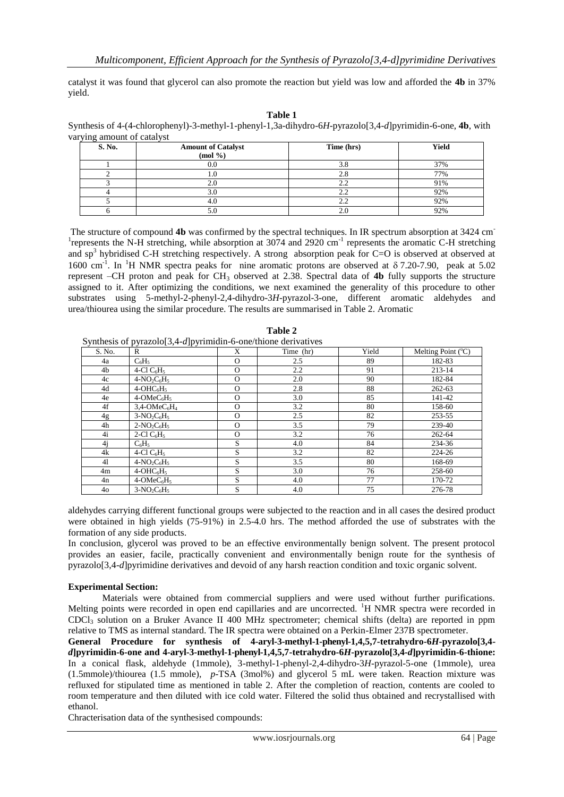catalyst it was found that glycerol can also promote the reaction but yield was low and afforded the **4b** in 37% yield.

| ונו<br>× |  |
|----------|--|
|----------|--|

Synthesis of 4-(4-chlorophenyl)-3-methyl-1-phenyl-1,3a-dihydro-6*H*-pyrazolo[3,4-*d*]pyrimidin-6-one, **4b**, with varying amount of catalyst

| S. No. | <b>Amount of Catalyst</b><br>$(mod \frac{\theta}{2})$ | Time (hrs)   | Yield |
|--------|-------------------------------------------------------|--------------|-------|
|        |                                                       |              | 37%   |
|        |                                                       |              | 77%   |
|        |                                                       |              | 91%   |
|        | 3.0                                                   | 2.Z          | 92%   |
|        | 4.U                                                   | <u>_ . _</u> | 92%   |
|        | J.U                                                   |              | 92%   |

The structure of compound **4b** was confirmed by the spectral techniques. In IR spectrum absorption at 3424 cm-<sup>1</sup>represents the N-H stretching, while absorption at 3074 and 2920 cm<sup>-1</sup> represents the aromatic C-H stretching and sp<sup>3</sup> hybridised C-H stretching respectively. A strong absorption peak for C=O is observed at observed at 1600 cm<sup>-1</sup>. In <sup>1</sup>H NMR spectra peaks for nine aromatic protons are observed at  $\delta$  7.20-7.90, peak at 5.02 represent –CH proton and peak for CH<sup>3</sup> observed at 2.38. Spectral data of **4b** fully supports the structure assigned to it. After optimizing the conditions, we next examined the generality of this procedure to other substrates using 5-methyl-2-phenyl-2,4-dihydro-3*H*-pyrazol-3-one, different aromatic aldehydes and urea/thiourea using the similar procedure. The results are summarised in Table 2. Aromatic

| S. No. | R                                       | X        | Time (hr) | Yield | Melting Point $({}^{\circ}C)$ |
|--------|-----------------------------------------|----------|-----------|-------|-------------------------------|
| 4a     | $C_6H_5$                                | $\Omega$ | 2.5       | 89    | 182-83                        |
| 4b     | 4-Cl $C_6H_5$                           | $\Omega$ | $2.2\,$   | 91    | 213-14                        |
| 4c     | $4-NO_2C_6H_5$                          | $\Omega$ | 2.0       | 90    | 182-84                        |
| 4d     | $4-OHC6H5$                              | $\Omega$ | 2.8       | 88    | $262 - 63$                    |
| 4e     | $4$ -OMe $C_6H_5$                       | $\Omega$ | 3.0       | 85    | 141-42                        |
| 4f     | $3,4$ -OMeC <sub>6</sub> H <sub>4</sub> | $\Omega$ | 3.2       | 80    | 158-60                        |
| 4g     | $3-NO_2C_6H_5$                          | $\Omega$ | 2.5       | 82    | 253-55                        |
| 4h     | $2-NO_2C_6H_5$                          | $\Omega$ | 3.5       | 79    | 239-40                        |
| 4i     | 2-Cl $C_6H_5$                           | $\Omega$ | 3.2       | 76    | 262-64                        |
| 4i     | $C_6H_5$                                | S        | 4.0       | 84    | 234-36                        |
| 4k     | 4-Cl $C_6H_5$                           | S        | 3.2       | 82    | 224-26                        |
| 41     | $4-NO_2C_6H_5$                          | S        | 3.5       | 80    | 168-69                        |
| 4m     | $4-OHC6H5$                              | S        | 3.0       | 76    | 258-60                        |
| 4n     | $4$ -OMe $C_6H_5$                       | S        | 4.0       | 77    | 170-72                        |
| 40     | $3-NO_2C_6H_5$                          | S        | 4.0       | 75    | 276-78                        |

**Table 2**

aldehydes carrying different functional groups were subjected to the reaction and in all cases the desired product were obtained in high yields (75-91%) in 2.5-4.0 hrs. The method afforded the use of substrates with the formation of any side products.

In conclusion, glycerol was proved to be an effective environmentally benign solvent. The present protocol provides an easier, facile, practically convenient and environmentally benign route for the synthesis of pyrazolo[3,4-*d*]pyrimidine derivatives and devoid of any harsh reaction condition and toxic organic solvent.

### **Experimental Section:**

Materials were obtained from commercial suppliers and were used without further purifications. Melting points were recorded in open end capillaries and are uncorrected. <sup>1</sup>H NMR spectra were recorded in CDCl<sup>3</sup> solution on a Bruker Avance II 400 MHz spectrometer; chemical shifts (delta) are reported in ppm relative to TMS as internal standard. The IR spectra were obtained on a Perkin-Elmer 237B spectrometer.

**General Procedure for synthesis of 4-aryl-3-methyl-1-phenyl-1,4,5,7-tetrahydro-6***H***-pyrazolo[3,4** *d***]pyrimidin-6-one and 4-aryl-3-methyl-1-phenyl-1,4,5,7-tetrahydro-6***H***-pyrazolo[3,4-***d***]pyrimidin-6-thione:** In a conical flask, aldehyde (1mmole), 3-methyl-1-phenyl-2,4-dihydro-3*H*-pyrazol-5-one (1mmole), urea (1.5mmole)/thiourea (1.5 mmole), *p*-TSA (3mol%) and glycerol 5 mL were taken. Reaction mixture was refluxed for stipulated time as mentioned in table 2. After the completion of reaction, contents are cooled to room temperature and then diluted with ice cold water. Filtered the solid thus obtained and recrystallised with ethanol.

Chracterisation data of the synthesised compounds: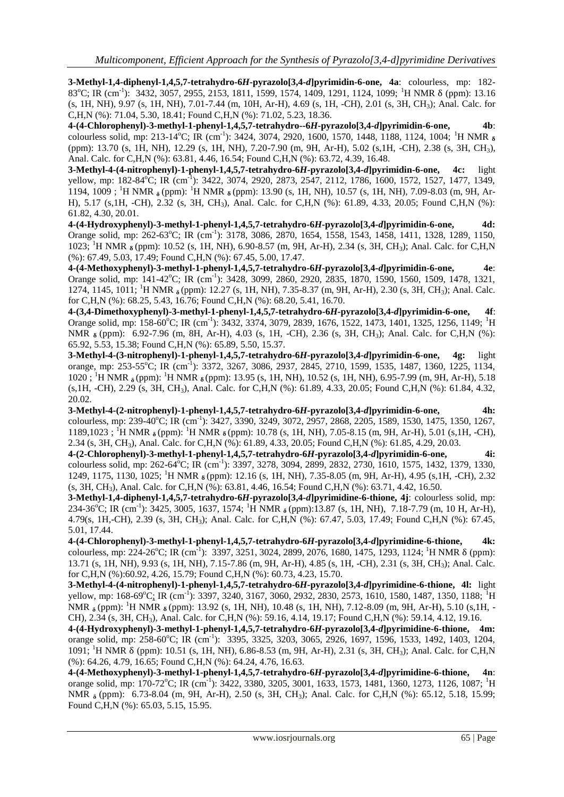**3-Methyl-1,4-diphenyl-1,4,5,7-tetrahydro-6***H***-pyrazolo[3,4-***d***]pyrimidin-6-one, 4a**: colourless, mp: 182- 83<sup>o</sup>C; IR (cm<sup>-1</sup>): 3432, 3057, 2955, 2153, 1811, 1599, 1574, 1409, 1291, 1124, 1099; <sup>1</sup>H NMR δ (ppm): 13.16 (s, 1H, NH), 9.97 (s, 1H, NH), 7.01-7.44 (m, 10H, Ar-H), 4.69 (s, 1H, -CH), 2.01 (s, 3H, CH3); Anal. Calc. for C,H,N (%): 71.04, 5.30, 18.41; Found C,H,N (%): 71.02, 5.23, 18.36.

**4-(4-Chlorophenyl)-3-methyl-1-phenyl-1,4,5,7-tetrahydro--6***H***-pyrazolo[3,4-***d***]pyrimidin-6-one, 4b**: colourless solid, mp: 213-14<sup>o</sup>C; IR (cm<sup>-1</sup>): 3424, 3074, 2920, 1600, 1570, 1448, 1188, 1124, 1004; <sup>1</sup>H NMR **δ** (ppm): 13.70 (s, 1H, NH), 12.29 (s, 1H, NH), 7.20-7.90 (m, 9H, Ar-H), 5.02 (s,1H, -CH), 2.38 (s, 3H, CH3), Anal. Calc. for C,H,N (%): 63.81, 4.46, 16.54; Found C,H,N (%): 63.72, 4.39, 16.48.

**3-Methyl-4-(4-nitrophenyl)-1-phenyl-1,4,5,7-tetrahydro-6***H***-pyrazolo[3,4-***d***]pyrimidin-6-one, 4c:** light yellow, mp: 182-84<sup>o</sup>C; IR (cm<sup>-1</sup>): 3422, 3074, 2920, 2873, 2547, 2112, 1786, 1600, 1572, 1527, 1477, 1349, 1194, 1009 ; <sup>1</sup>H NMR **δ** (ppm): <sup>1</sup>H NMR **δ** (ppm): 13.90 (s, 1H, NH), 10.57 (s, 1H, NH), 7.09-8.03 (m, 9H, Ar-H), 5.17 (s,1H, -CH), 2.32 (s, 3H, CH3), Anal. Calc. for C,H,N (%): 61.89, 4.33, 20.05; Found C,H,N (%): 61.82, 4.30, 20.01.

**4-(4-Hydroxyphenyl)-3-methyl-1-phenyl-1,4,5,7-tetrahydro-6***H***-pyrazolo[3,4-***d***]pyrimidin-6-one, 4d:**  Orange solid, mp: 262-63°C; IR (cm<sup>-1</sup>): 3178, 3086, 2870, 1654, 1558, 1543, 1458, 1411, 1328, 1289, 1150, 1023; <sup>1</sup>H NMR **δ** (ppm): 10.52 (s, 1H, NH), 6.90-8.57 (m, 9H, Ar-H), 2.34 (s, 3H, CH3); Anal. Calc. for C,H,N (%): 67.49, 5.03, 17.49; Found C,H,N (%): 67.45, 5.00, 17.47.

**4-(4-Methoxyphenyl)-3-methyl-1-phenyl-1,4,5,7-tetrahydro-6***H***-pyrazolo[3,4-***d***]pyrimidin-6-one, 4e**: Orange solid, mp: 141-42°C; IR (cm<sup>-1</sup>): 3428, 3099, 2860, 2920, 2835, 1870, 1590, 1560, 1509, 1478, 1321, 1274, 1145, 1011; <sup>1</sup>H NMR **δ** (ppm): 12.27 (s, 1H, NH), 7.35-8.37 (m, 9H, Ar-H), 2.30 (s, 3H, CH3); Anal. Calc. for C,H,N (%): 68.25, 5.43, 16.76; Found C,H,N (%): 68.20, 5.41, 16.70.

**4-(3,4-Dimethoxyphenyl)-3-methyl-1-phenyl-1,4,5,7-tetrahydro-6***H***-pyrazolo[3,4-***d***]pyrimidin-6-one, 4f**: Orange solid, mp: 158-60°C; IR (cm<sup>-1</sup>): 3432, 3374, 3079, 2839, 1676, 1522, 1473, 1401, 1325, 1256, 1149; <sup>1</sup>H NMR **δ** (ppm): 6.92-7.96 (m, 8H, Ar-H), 4.03 (s, 1H, -CH), 2.36 (s, 3H, CH<sub>3</sub>); Anal. Calc. for C,H,N (%): 65.92, 5.53, 15.38; Found C,H,N (%): 65.89, 5.50, 15.37.

**3-Methyl-4-(3-nitrophenyl)-1-phenyl-1,4,5,7-tetrahydro-6***H***-pyrazolo[3,4-***d***]pyrimidin-6-one, 4g:** light orange, mp: 253-55<sup>o</sup>C; IR (cm<sup>-1</sup>): 3372, 3267, 3086, 2937, 2845, 2710, 1599, 1535, 1487, 1360, 1225, 1134, 1020 ; <sup>1</sup>H NMR **δ** (ppm): <sup>1</sup>H NMR **δ** (ppm): 13.95 (s, 1H, NH), 10.52 (s, 1H, NH), 6.95-7.99 (m, 9H, Ar-H), 5.18 (s,1H, -CH), 2.29 (s, 3H, CH3), Anal. Calc. for C,H,N (%): 61.89, 4.33, 20.05; Found C,H,N (%): 61.84, 4.32, 20.02.

**3-Methyl-4-(2-nitrophenyl)-1-phenyl-1,4,5,7-tetrahydro-6***H***-pyrazolo[3,4-***d***]pyrimidin-6-one, 4h:**  colourless, mp: 239-40°C; IR (cm<sup>-1</sup>): 3427, 3390, 3249, 3072, 2957, 2868, 2205, 1589, 1530, 1475, 1350, 1267, 1189,1023 ; <sup>1</sup>H NMR **δ** (ppm): <sup>1</sup>H NMR **δ** (ppm): 10.78 (s, 1H, NH), 7.05-8.15 (m, 9H, Ar-H), 5.01 (s,1H, -CH), 2.34 (s, 3H, CH3), Anal. Calc. for C,H,N (%): 61.89, 4.33, 20.05; Found C,H,N (%): 61.85, 4.29, 20.03.

**4-(2-Chlorophenyl)-3-methyl-1-phenyl-1,4,5,7-tetrahydro-6***H***-pyrazolo[3,4-***d***]pyrimidin-6-one, 4i:**  colourless solid, mp: 262-64<sup>o</sup>C; IR (cm<sup>-1</sup>): 3397, 3278, 3094, 2899, 2832, 2730, 1610, 1575, 1432, 1379, 1330, 1249, 1175, 1130, 1025; <sup>1</sup>H NMR **δ** (ppm): 12.16 (s, 1H, NH), 7.35-8.05 (m, 9H, Ar-H), 4.95 (s,1H, -CH), 2.32 (s, 3H, CH3), Anal. Calc. for C,H,N (%): 63.81, 4.46, 16.54; Found C,H,N (%): 63.71, 4.42, 16.50.

**3-Methyl-1,4-diphenyl-1,4,5,7-tetrahydro-6***H***-pyrazolo[3,4-***d***]pyrimidine-6-thione, 4j**: colourless solid, mp: 234-36<sup>o</sup>C; IR (cm<sup>-1</sup>): 3425, 3005, 1637, 1574; <sup>1</sup>H NMR <sub>δ</sub> (ppm):13.87 (s, 1H, NH), 7.18-7.79 (m, 10 H, Ar-H), 4.79(s, 1H,-CH), 2.39 (s, 3H, CH3); Anal. Calc. for C,H,N (%): 67.47, 5.03, 17.49; Found C,H,N (%): 67.45, 5.01, 17.44.

**4-(4-Chlorophenyl)-3-methyl-1-phenyl-1,4,5,7-tetrahydro-6***H***-pyrazolo[3,4-***d***]pyrimidine-6-thione, 4k:**  colourless, mp: 224-26<sup>o</sup>C; IR (cm<sup>-1</sup>): 3397, 3251, 3024, 2899, 2076, 1680, 1475, 1293, 1124; <sup>1</sup>H NMR  $\delta$  (ppm): 13.71 (s, 1H, NH), 9.93 (s, 1H, NH), 7.15-7.86 (m, 9H, Ar-H), 4.85 (s, 1H, -CH), 2.31 (s, 3H, CH3); Anal. Calc. for C,H,N (%):60.92, 4.26, 15.79; Found C,H,N (%): 60.73, 4.23, 15.70.

**3-Methyl-4-(4-nitrophenyl)-1-phenyl-1,4,5,7-tetrahydro-6***H***-pyrazolo[3,4-***d***]pyrimidine-6-thione, 4l:** light yellow, mp: 168-69<sup>o</sup>C; IR (cm<sup>-1</sup>): 3397, 3240, 3167, 3060, 2932, 2830, 2573, 1610, 1580, 1487, 1350, 1188; <sup>1</sup>H NMR <sub>δ</sub> (ppm): <sup>1</sup>H NMR <sub>δ</sub> (ppm): 13.92 (s, 1H, NH), 10.48 (s, 1H, NH), 7.12-8.09 (m, 9H, Ar-H), 5.10 (s, 1H, -CH), 2.34 (s, 3H, CH3), Anal. Calc. for C,H,N (%): 59.16, 4.14, 19.17; Found C,H,N (%): 59.14, 4.12, 19.16.

**4-(4-Hydroxyphenyl)-3-methyl-1-phenyl-1,4,5,7-tetrahydro-6***H***-pyrazolo[3,4-***d***]pyrimidine-6-thione, 4m:** orange solid, mp: 258-60°C; IR (cm<sup>-1</sup>): 3395, 3325, 3203, 3065, 2926, 1697, 1596, 1533, 1492, 1403, 1204, 1091; <sup>1</sup>H NMR δ (ppm): 10.51 (s, 1H, NH), 6.86-8.53 (m, 9H, Ar-H), 2.31 (s, 3H, CH3); Anal. Calc. for C,H,N (%): 64.26, 4.79, 16.65; Found C,H,N (%): 64.24, 4.76, 16.63.

**4-(4-Methoxyphenyl)-3-methyl-1-phenyl-1,4,5,7-tetrahydro-6***H***-pyrazolo[3,4-***d***]pyrimidine-6-thione, 4n**: orange solid, mp: 170-72°C; IR (cm<sup>-1</sup>): 3422, 3380, 3205, 3001, 1633, 1573, 1481, 1360, 1273, 1126, 1087; <sup>1</sup>H NMR <sub>δ</sub> (ppm): 6.73-8.04 (m, 9H, Ar-H), 2.50 (s, 3H, CH<sub>3</sub>); Anal. Calc. for C,H,N (%): 65.12, 5.18, 15.99; Found C,H,N (%): 65.03, 5.15, 15.95.